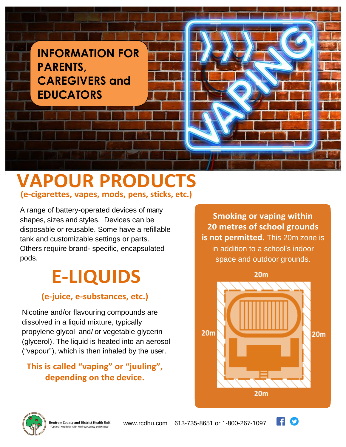

### **VAPOUR PRODUCTS (e-cigarettes, vapes, mods, pens, sticks, etc.)**

A range of battery-operated devices of many shapes, sizes and styles. Devices can be disposable or reusable. Some have a refillable tank and customizable settings or parts. Others require brand- specific, encapsulated pods.

## **E-LIQUIDS**

### **(e-juice, e-substances, etc.)**

Nicotine and/or flavouring compounds are dissolved in a liquid mixture, typically propylene glycol and/ or vegetable glycerin (glycerol). The liquid is heated into an aerosol ("vapour"), which is then inhaled by the user.

### **This is called "vaping" or "juuling", depending on the device.**

**Smoking or vaping within 20 metres of school grounds is not permitted.** This 20m zone is in addition to a school's indoor space and outdoor grounds.





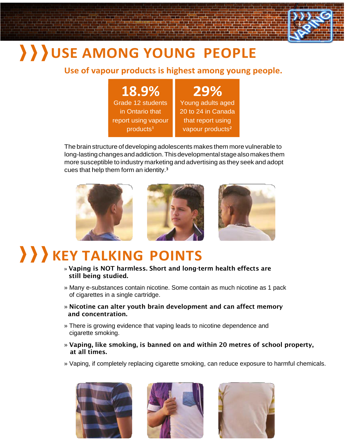



## **USE AMONG YOUNG PEOPLE**

#### **Use of vapour products is highest among young people.**

## **18.9%**

Grade 12 students in Ontario that report using vapour product[s](#page-4-0)**<sup>1</sup>**

### **29%** Young adults aged

20 to 24 in Canada that report using vapour products**[2](#page-4-0)**

The brain structure of developing adolescents makes them more vulnerable to long-lasting changes and addiction. This developmental stage also makes them more susceptible to industry marketing and advertising as they seek and adopt cues that help them form an identity.**<sup>3</sup>**



## **KEY TALKING POINTS**

- » **Vaping is NOT harmless. Short and long-term health effects are still being studied.**
- » Many e-substances contain nicotine. Some contain as much nicotine as 1 pack of cigarettes in a single cartridge.
- » **Nicotine can alter youth brain development and can affect memory and concentration.**
- » There is growing evidence that vaping leads to nicotine dependence and cigarette smoking.
- » **Vaping, like smoking, is banned on and within 20 metres of school property, at all times.**
- » Vaping, if completely replacing cigarette smoking, can reduce exposure to harmful chemicals.





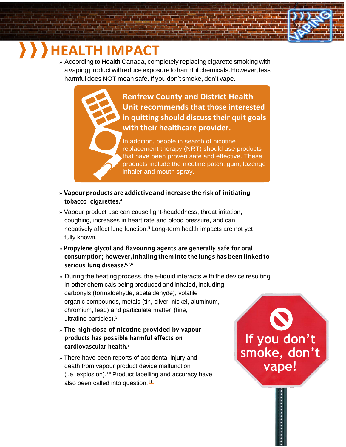

## **HEALTH IMPACT**

» According to Health Canada, completely replacing cigarette smoking with a vaping product will reduce exposure to harmful chemicals. However, less harmful does NOT mean safe. If you don't smoke, don't vape.

> **Renfrew County and District Health Unit recommends that those interested in quitting should discuss their quit goals with their healthcare provider.**

In addition, people in search of nicotine replacement therapy (NRT) should use products that have been proven safe and effective. These products include the nicotine patch, gum, lozenge inhaler and mouth spray.

- » **Vapourproducts are addictive andincrease the risk of initiating tobacco cigarette[s.](#page-4-0)<sup>4</sup>**
- » Vapour product use can cause light-headedness, throat irritation, coughing, increases in heart rate and blood pressure, and can negatively affect lung function.**[5](#page-4-0)** Long-term health impacts are not yet fully known.
- » **Propylene glycol and flavouring agents are generally safe for oral consumption; however,inhaling them into the lungs has been linked to serious lung disease. [6,7,8](#page-4-0)**

» During the heating process, the e-liquid interacts with the device resulting in other chemicals being produced and inhaled, including: carbonyls (formaldehyde, acetaldehyde), volatile organic compounds, metals (tin, silver, nickel, aluminum, chromium, lead) and particulate matter (fine, ultrafine particles).**[5](#page-4-0)**

- » **The high-dose of nicotine provided by vapour products has possible harmful effects on cardiovascular health.** 9
- » There have been reports of accidental injury and death from vapour product device malfunction (i.e. explosion).**<sup>10</sup>** Product labelling and accuracy have also been called into question.**<sup>11</sup>**

**If you don't smoke, don't vape!**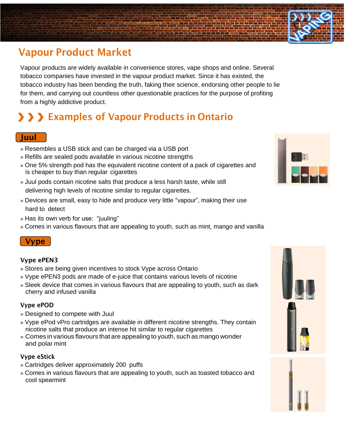### **Vapour Product Market**

Vapour products are widely available in convenience stores, vape shops and online. Several tobacco companies have invested in the vapour product market. Since it has existed, the tobacco industry has been bending the truth, faking their science, endorsing other people to lie for them, and carrying out countless other questionable practices for the purpose of profiting from a highly addictive product.

### **Examples of Vapour Products in Ontario**

#### **Juul**

- » Resembles a USB stick and can be charged via a USB port
- » Refills are sealed pods available in various nicotine strengths
- » One 5% strength pod has the equivalent nicotine content of a pack of cigarettes and is cheaper to buy than regular cigarettes
- » Juul pods contain nicotine salts that produce a less harsh taste, while still delivering high levels of nicotine similar to regular cigarettes.
- » Devices are small, easy to hide and produce very little "vapour", making their use hard to detect
- » Has its own verb for use: "juuling"
- » Comes in various flavours that are appealing to youth, such as mint, mango and vanilla



#### **Vype ePEN3**

- » Stores are being given incentives to stock Vype across Ontario
- » Vype ePEN3 pods are made of e-juice that contains various levels of nicotine
- » Sleek device that comes in various flavours that are appealing to youth, such as dark cherry and infused vanilla

#### **Vype ePOD**

- » Designed to compete with Juul
- » Vype ePod vPro cartridges are available in different nicotine strengths. They contain nicotine salts that produce an intense hit similar to regular cigarettes
- » Comes in various flavours that are appealing to youth, such as mango wonder and polar mint

#### **Vype eStick**

- » Cartridges deliver approximately 200 puffs
- » Comes in various flavours that are appealing to youth, such as toasted tobacco and cool spearmint